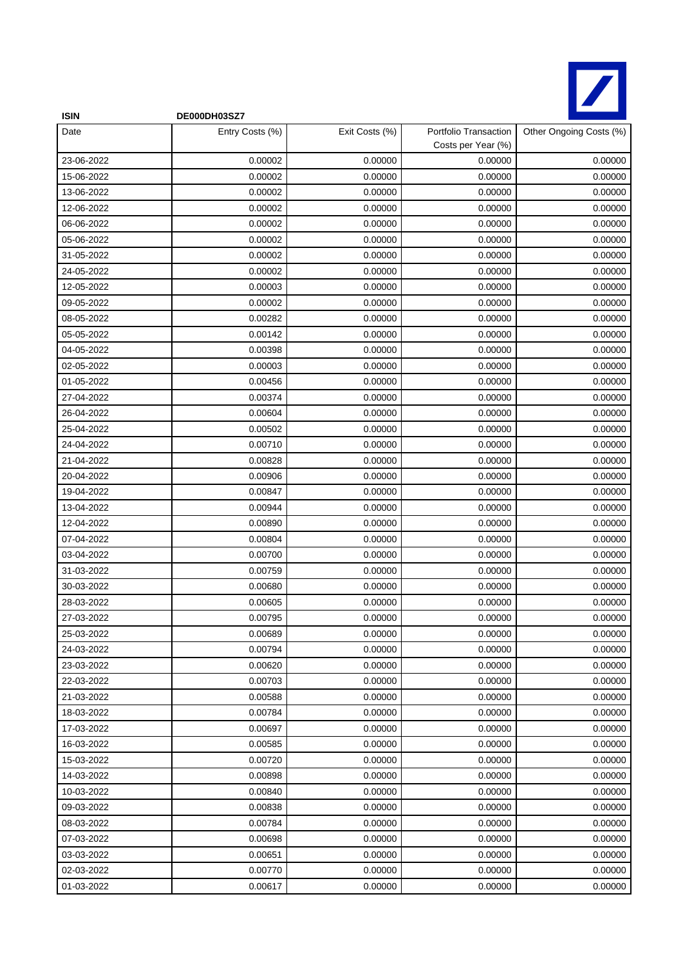

| <b>ISIN</b> | DE000DH03SZ7    |                |                                             |                         |
|-------------|-----------------|----------------|---------------------------------------------|-------------------------|
| Date        | Entry Costs (%) | Exit Costs (%) | Portfolio Transaction<br>Costs per Year (%) | Other Ongoing Costs (%) |
| 23-06-2022  | 0.00002         | 0.00000        | 0.00000                                     | 0.00000                 |
| 15-06-2022  | 0.00002         | 0.00000        | 0.00000                                     | 0.00000                 |
| 13-06-2022  | 0.00002         | 0.00000        | 0.00000                                     | 0.00000                 |
| 12-06-2022  | 0.00002         | 0.00000        | 0.00000                                     | 0.00000                 |
| 06-06-2022  | 0.00002         | 0.00000        | 0.00000                                     | 0.00000                 |
| 05-06-2022  | 0.00002         | 0.00000        | 0.00000                                     | 0.00000                 |
| 31-05-2022  | 0.00002         | 0.00000        | 0.00000                                     | 0.00000                 |
| 24-05-2022  | 0.00002         | 0.00000        | 0.00000                                     | 0.00000                 |
| 12-05-2022  | 0.00003         | 0.00000        | 0.00000                                     | 0.00000                 |
| 09-05-2022  | 0.00002         | 0.00000        | 0.00000                                     | 0.00000                 |
| 08-05-2022  | 0.00282         | 0.00000        | 0.00000                                     | 0.00000                 |
| 05-05-2022  | 0.00142         | 0.00000        | 0.00000                                     | 0.00000                 |
| 04-05-2022  | 0.00398         | 0.00000        | 0.00000                                     | 0.00000                 |
| 02-05-2022  | 0.00003         | 0.00000        | 0.00000                                     | 0.00000                 |
| 01-05-2022  | 0.00456         | 0.00000        | 0.00000                                     | 0.00000                 |
| 27-04-2022  | 0.00374         | 0.00000        | 0.00000                                     | 0.00000                 |
| 26-04-2022  | 0.00604         | 0.00000        | 0.00000                                     | 0.00000                 |
| 25-04-2022  | 0.00502         | 0.00000        | 0.00000                                     | 0.00000                 |
| 24-04-2022  | 0.00710         | 0.00000        | 0.00000                                     | 0.00000                 |
| 21-04-2022  | 0.00828         | 0.00000        | 0.00000                                     | 0.00000                 |
| 20-04-2022  | 0.00906         | 0.00000        | 0.00000                                     | 0.00000                 |
| 19-04-2022  | 0.00847         | 0.00000        | 0.00000                                     | 0.00000                 |
| 13-04-2022  | 0.00944         | 0.00000        | 0.00000                                     | 0.00000                 |
| 12-04-2022  | 0.00890         | 0.00000        | 0.00000                                     | 0.00000                 |
| 07-04-2022  | 0.00804         | 0.00000        | 0.00000                                     | 0.00000                 |
| 03-04-2022  | 0.00700         | 0.00000        | 0.00000                                     | 0.00000                 |
| 31-03-2022  | 0.00759         | 0.00000        | 0.00000                                     | 0.00000                 |
| 30-03-2022  | 0.00680         | 0.00000        | 0.00000                                     | 0.00000                 |
| 28-03-2022  | 0.00605         | 0.00000        | 0.00000                                     | 0.00000                 |
| 27-03-2022  | 0.00795         | 0.00000        | 0.00000                                     | 0.00000                 |
| 25-03-2022  | 0.00689         | 0.00000        | 0.00000                                     | 0.00000                 |
| 24-03-2022  | 0.00794         | 0.00000        | 0.00000                                     | 0.00000                 |
| 23-03-2022  | 0.00620         | 0.00000        | 0.00000                                     | 0.00000                 |
| 22-03-2022  | 0.00703         | 0.00000        | 0.00000                                     | 0.00000                 |
| 21-03-2022  | 0.00588         | 0.00000        | 0.00000                                     | 0.00000                 |
| 18-03-2022  | 0.00784         | 0.00000        | 0.00000                                     | 0.00000                 |
| 17-03-2022  | 0.00697         | 0.00000        | 0.00000                                     | 0.00000                 |
| 16-03-2022  | 0.00585         | 0.00000        | 0.00000                                     | 0.00000                 |
| 15-03-2022  | 0.00720         | 0.00000        | 0.00000                                     | 0.00000                 |
| 14-03-2022  | 0.00898         | 0.00000        | 0.00000                                     | 0.00000                 |
| 10-03-2022  | 0.00840         | 0.00000        | 0.00000                                     | 0.00000                 |
| 09-03-2022  | 0.00838         | 0.00000        | 0.00000                                     | 0.00000                 |
| 08-03-2022  | 0.00784         | 0.00000        | 0.00000                                     | 0.00000                 |
| 07-03-2022  | 0.00698         | 0.00000        | 0.00000                                     | 0.00000                 |
| 03-03-2022  | 0.00651         | 0.00000        | 0.00000                                     | 0.00000                 |
| 02-03-2022  | 0.00770         | 0.00000        | 0.00000                                     | 0.00000                 |
| 01-03-2022  | 0.00617         | 0.00000        | 0.00000                                     | 0.00000                 |